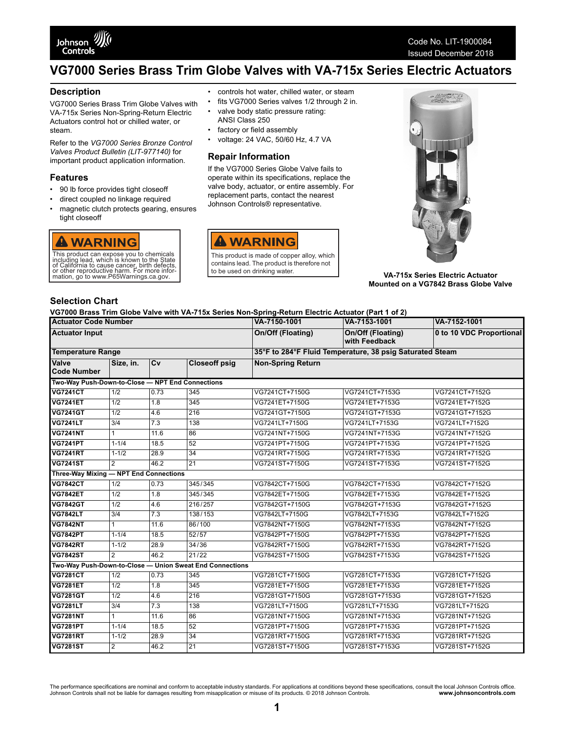

# **VG7000 Series Brass Trim Globe Valves with VA-715x Series Electric Actuators**

#### **Description**

VG7000 Series Brass Trim Globe Valves with VA-715x Series Non-Spring-Return Electric Actuators control hot or chilled water, or steam.

Refer to the *VG7000 Series Bronze Control Valves Product Bulletin (LIT-977140)* for important product application information.

#### **Features**

- 90 lb force provides tight closeoff
- direct coupled no linkage required
- magnetic clutch protects gearing, ensures tight closeoff



This product can expose you to chemicals including lead, which is known to the State of California to cause cancer, birth defects, or other reproductive harm. For more infor-mation, go to www.P65Warnings.ca.gov.

- controls hot water, chilled water, or steam
- fits VG7000 Series valves 1/2 through 2 in.
- valve body static pressure rating:
- ANSI Class 250
- factory or field assembly
- voltage: 24 VAC, 50/60 Hz, 4.7 VA

#### **Repair Information**

If the VG7000 Series Globe Valve fails to operate within its specifications, replace the valve body, actuator, or entire assembly. For replacement parts, contact the nearest Johnson Controls® representative.







**VA-715x Series Electric Actuator Mounted on a VG7842 Brass Globe Valve**

#### **Selection Chart**

**VG7000 Brass Trim Globe Valve with VA-715x Series Non-Spring-Return Electric Actuator (Part 1 of 2)**

| <b>Actuator Code Number</b>                              |                |      |                      | VA-7150-1001                                             | VA-7153-1001                              | VA-7152-1001             |  |
|----------------------------------------------------------|----------------|------|----------------------|----------------------------------------------------------|-------------------------------------------|--------------------------|--|
| <b>Actuator Input</b>                                    |                |      |                      | <b>On/Off (Floating)</b>                                 | <b>On/Off (Floating)</b><br>with Feedback | 0 to 10 VDC Proportional |  |
| <b>Temperature Range</b>                                 |                |      |                      | 35°F to 284°F Fluid Temperature, 38 psig Saturated Steam |                                           |                          |  |
| Valve<br><b>Code Number</b>                              | Size, in.      | Cv   | <b>Closeoff psig</b> | <b>Non-Spring Return</b>                                 |                                           |                          |  |
| Two-Way Push-Down-to-Close - NPT End Connections         |                |      |                      |                                                          |                                           |                          |  |
| <b>VG7241CT</b>                                          | 1/2            | 0.73 | 345                  | VG7241CT+7150G                                           | VG7241CT+7153G                            | VG7241CT+7152G           |  |
| <b>VG7241ET</b>                                          | 1/2            | 1.8  | 345                  | VG7241ET+7150G                                           | VG7241ET+7153G                            | VG7241ET+7152G           |  |
| <b>VG7241GT</b>                                          | 1/2            | 4.6  | 216                  | VG7241GT+7150G                                           | VG7241GT+7153G                            | VG7241GT+7152G           |  |
| <b>VG7241LT</b>                                          | 3/4            | 7.3  | 138                  | VG7241LT+7150G                                           | VG7241LT+7153G                            | VG7241LT+7152G           |  |
| <b>VG7241NT</b>                                          | 1              | 11.6 | 86                   | VG7241NT+7150G                                           | VG7241NT+7153G                            | VG7241NT+7152G           |  |
| <b>VG7241PT</b>                                          | $1 - 1/4$      | 18.5 | 52                   | VG7241PT+7150G                                           | VG7241PT+7153G                            | VG7241PT+7152G           |  |
| <b>VG7241RT</b>                                          | $1 - 1/2$      | 28.9 | 34                   | VG7241RT+7150G                                           | VG7241RT+7153G                            | VG7241RT+7152G           |  |
| <b>VG7241ST</b>                                          | $\overline{2}$ | 46.2 | 21                   | VG7241ST+7150G                                           | VG7241ST+7153G                            | VG7241ST+7152G           |  |
| Three-Way Mixing - NPT End Connections                   |                |      |                      |                                                          |                                           |                          |  |
| <b>VG7842CT</b>                                          | 1/2            | 0.73 | 345/345              | VG7842CT+7150G                                           | VG7842CT+7153G                            | VG7842CT+7152G           |  |
| <b>VG7842ET</b>                                          | 1/2            | 1.8  | 345/345              | VG7842ET+7150G                                           | VG7842ET+7153G                            | VG7842ET+7152G           |  |
| <b>VG7842GT</b>                                          | 1/2            | 4.6  | 216/257              | VG7842GT+7150G                                           | VG7842GT+7153G                            | VG7842GT+7152G           |  |
| <b>VG7842LT</b>                                          | 3/4            | 7.3  | 138/153              | VG7842LT+7150G                                           | VG7842LT+7153G                            | VG7842LT+7152G           |  |
| <b>VG7842NT</b>                                          | 1              | 11.6 | 86/100               | VG7842NT+7150G                                           | VG7842NT+7153G                            | VG7842NT+7152G           |  |
| <b>VG7842PT</b>                                          | $1 - 1/4$      | 18.5 | 52/57                | VG7842PT+7150G                                           | VG7842PT+7153G                            | VG7842PT+7152G           |  |
| <b>VG7842RT</b>                                          | $1 - 1/2$      | 28.9 | 34/36                | VG7842RT+7150G                                           | VG7842RT+7153G                            | VG7842RT+7152G           |  |
| <b>VG7842ST</b>                                          | $\overline{2}$ | 46.2 | 21/22                | VG7842ST+7150G                                           | VG7842ST+7153G                            | VG7842ST+7152G           |  |
| Two-Way Push-Down-to-Close - Union Sweat End Connections |                |      |                      |                                                          |                                           |                          |  |
| <b>VG7281CT</b>                                          | 1/2            | 0.73 | 345                  | VG7281CT+7150G                                           | VG7281CT+7153G                            | VG7281CT+7152G           |  |
| <b>VG7281ET</b>                                          | 1/2            | 1.8  | 345                  | VG7281ET+7150G                                           | VG7281ET+7153G                            | VG7281ET+7152G           |  |
| <b>VG7281GT</b>                                          | 1/2            | 4.6  | 216                  | VG7281GT+7150G                                           | VG7281GT+7153G                            | VG7281GT+7152G           |  |
| <b>VG7281LT</b>                                          | 3/4            | 7.3  | 138                  | VG7281LT+7150G                                           | VG7281LT+7153G                            | VG7281LT+7152G           |  |
| <b>VG7281NT</b>                                          | 1              | 11.6 | 86                   | VG7281NT+7150G                                           | VG7281NT+7153G                            | VG7281NT+7152G           |  |
| <b>VG7281PT</b>                                          | $1 - 1/4$      | 18.5 | 52                   | VG7281PT+7150G                                           | VG7281PT+7153G                            | VG7281PT+7152G           |  |
| <b>VG7281RT</b>                                          | $1 - 1/2$      | 28.9 | 34                   | VG7281RT+7150G                                           | VG7281RT+7153G                            | VG7281RT+7152G           |  |
| <b>VG7281ST</b>                                          | $\overline{2}$ | 46.2 | $\overline{21}$      | VG7281ST+7150G                                           | VG7281ST+7153G                            | VG7281ST+7152G           |  |

The performance specifications are nominal and conform to acceptable industry standards. For applications at conditions beyond these specifications, consult the local Johnson Controls office.<br>Johnson Controls .com www.john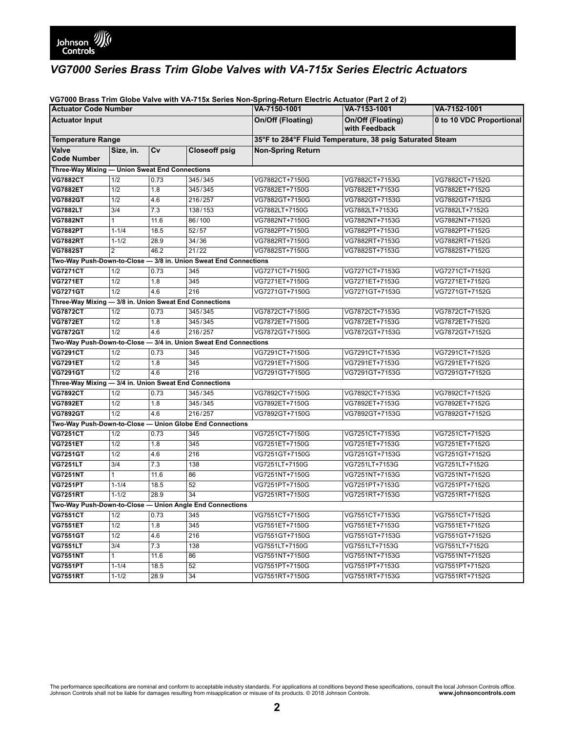### *VG7000 Series Brass Trim Globe Valves with VA-715x Series Electric Actuators*

| (Part 2 of 2) Versey Monte Willem Brander (Part 2 of 2) Versey Mon-Spring-Return Electric Actuator (Part 2 of<br><b>Actuator Code Number</b> |                  |             |                                                                  | VA-7150-1001                                             | VA-7153-1001                       | VA-7152-1001                     |
|----------------------------------------------------------------------------------------------------------------------------------------------|------------------|-------------|------------------------------------------------------------------|----------------------------------------------------------|------------------------------------|----------------------------------|
| <b>Actuator Input</b><br><b>Temperature Range</b>                                                                                            |                  |             |                                                                  | On/Off (Floating)                                        | On/Off (Floating)<br>with Feedback | 0 to 10 VDC Proportional         |
|                                                                                                                                              |                  |             |                                                                  | 35°F to 284°F Fluid Temperature, 38 psig Saturated Steam |                                    |                                  |
| Valve<br><b>Code Number</b>                                                                                                                  | Size, in.        | Cv          | <b>Closeoff psig</b>                                             | <b>Non-Spring Return</b>                                 |                                    |                                  |
| Three-Way Mixing - Union Sweat End Connections                                                                                               |                  |             |                                                                  |                                                          |                                    |                                  |
| <b>VG7882CT</b>                                                                                                                              | 1/2              | 0.73        | 345/345                                                          | VG7882CT+7150G                                           | VG7882CT+7153G                     | VG7882CT+7152G                   |
| <b>VG7882ET</b>                                                                                                                              | 1/2              | 1.8         | 345/345                                                          | VG7882ET+7150G                                           | VG7882ET+7153G                     | VG7882ET+7152G                   |
| <b>VG7882GT</b>                                                                                                                              | 1/2              | 4.6         | 216/257                                                          | VG7882GT+7150G                                           | VG7882GT+7153G                     | VG7882GT+7152G                   |
| <b>VG7882LT</b>                                                                                                                              | 3/4              | 7.3         | 138/153                                                          | VG7882LT+7150G                                           | VG7882LT+7153G                     | VG7882LT+7152G                   |
| <b>VG7882NT</b>                                                                                                                              | $\mathbf{1}$     | 11.6        | 86/100                                                           | VG7882NT+7150G                                           | VG7882NT+7153G                     | VG7882NT+7152G                   |
| <b>VG7882PT</b>                                                                                                                              | $1 - 1/4$        | 18.5        | 52/57                                                            | VG7882PT+7150G                                           | VG7882PT+7153G                     | VG7882PT+7152G                   |
| <b>VG7882RT</b>                                                                                                                              | $1 - 1/2$        | 28.9        | 34/36                                                            | VG7882RT+7150G                                           | VG7882RT+7153G                     | VG7882RT+7152G                   |
| <b>VG7882ST</b>                                                                                                                              | $\overline{2}$   | 46.2        | 21/22                                                            | VG7882ST+7150G                                           | VG7882ST+7153G                     | VG7882ST+7152G                   |
|                                                                                                                                              |                  |             | Two-Way Push-Down-to-Close - 3/8 in. Union Sweat End Connections |                                                          |                                    |                                  |
| <b>VG7271CT</b>                                                                                                                              | 1/2              | 0.73        | 345                                                              | VG7271CT+7150G                                           | VG7271CT+7153G                     | VG7271CT+7152G                   |
| <b>VG7271ET</b>                                                                                                                              | 1/2              | 1.8         | 345                                                              | VG7271ET+7150G                                           | VG7271ET+7153G                     | VG7271ET+7152G                   |
| <b>VG7271GT</b>                                                                                                                              | $\overline{1/2}$ | 4.6         | 216                                                              | VG7271GT+7150G                                           | VG7271GT+7153G                     | VG7271GT+7152G                   |
| Three-Way Mixing - 3/8 in. Union Sweat End Connections                                                                                       |                  |             |                                                                  |                                                          |                                    |                                  |
| <b>VG7872CT</b>                                                                                                                              | 1/2              | 0.73        | 345/345                                                          | VG7872CT+7150G                                           | VG7872CT+7153G                     | VG7872CT+7152G                   |
| <b>VG7872ET</b>                                                                                                                              | 1/2              | 1.8         | 345/345                                                          | VG7872ET+7150G                                           | VG7872ET+7153G                     | VG7872ET+7152G                   |
| <b>VG7872GT</b>                                                                                                                              | 1/2              | 4.6         | 216/257                                                          | VG7872GT+7150G                                           | VG7872GT+7153G                     | VG7872GT+7152G                   |
|                                                                                                                                              |                  |             | Two-Way Push-Down-to-Close - 3/4 in. Union Sweat End Connections |                                                          |                                    |                                  |
| <b>VG7291CT</b><br><b>VG7291ET</b>                                                                                                           | 1/2<br>1/2       | 0.73<br>1.8 | 345<br>345                                                       | VG7291CT+7150G<br>VG7291ET+7150G                         | VG7291CT+7153G<br>VG7291ET+7153G   | VG7291CT+7152G<br>VG7291ET+7152G |
| <b>VG7291GT</b>                                                                                                                              | 1/2              | 4.6         | 216                                                              | VG7291GT+7150G                                           | VG7291GT+7153G                     | VG7291GT+7152G                   |
| Three-Way Mixing - 3/4 in. Union Sweat End Connections                                                                                       |                  |             |                                                                  |                                                          |                                    |                                  |
| <b>VG7892CT</b>                                                                                                                              | 1/2              | 0.73        | 345/345                                                          | VG7892CT+7150G                                           | VG7892CT+7153G                     | VG7892CT+7152G                   |
| <b>VG7892ET</b>                                                                                                                              | 1/2              | 1.8         | 345/345                                                          | VG7892ET+7150G                                           | VG7892ET+7153G                     | VG7892ET+7152G                   |
| <b>VG7892GT</b>                                                                                                                              | $\overline{1/2}$ | 4.6         | 216/257                                                          | VG7892GT+7150G                                           | VG7892GT+7153G                     | VG7892GT+7152G                   |
|                                                                                                                                              |                  |             | Two-Way Push-Down-to-Close - Union Globe End Connections         |                                                          |                                    |                                  |
| <b>VG7251CT</b>                                                                                                                              | 1/2              | 0.73        | 345                                                              | VG7251CT+7150G                                           | VG7251CT+7153G                     | VG7251CT+7152G                   |
| <b>VG7251ET</b>                                                                                                                              | 1/2              | 1.8         | 345                                                              | VG7251ET+7150G                                           | VG7251ET+7153G                     | VG7251ET+7152G                   |
| <b>VG7251GT</b>                                                                                                                              | 1/2              | 4.6         | 216                                                              | VG7251GT+7150G                                           | VG7251GT+7153G                     | VG7251GT+7152G                   |
| <b>VG7251LT</b>                                                                                                                              | 3/4              | 7.3         | 138                                                              | VG7251LT+7150G                                           | VG7251LT+7153G                     | VG7251LT+7152G                   |
| <b>VG7251NT</b>                                                                                                                              | 1                | 11.6        | 86                                                               | VG7251NT+7150G                                           | VG7251NT+7153G                     | VG7251NT+7152G                   |
| <b>VG7251PT</b>                                                                                                                              | $1 - 1/4$        | 18.5        | 52                                                               | VG7251PT+7150G                                           | VG7251PT+7153G                     | VG7251PT+7152G                   |
| <b>VG7251RT</b>                                                                                                                              | $1 - 1/2$        | 28.9        | 34                                                               | VG7251RT+7150G                                           | VG7251RT+7153G                     | VG7251RT+7152G                   |
|                                                                                                                                              |                  |             | Two-Way Push-Down-to-Close - Union Angle End Connections         |                                                          |                                    |                                  |
| <b>VG7551CT</b>                                                                                                                              | 1/2              | 0.73        | 345                                                              | VG7551CT+7150G                                           | VG7551CT+7153G                     | VG7551CT+7152G                   |
| <b>VG7551ET</b>                                                                                                                              | 1/2              | 1.8         | 345                                                              | VG7551ET+7150G                                           | VG7551ET+7153G                     | VG7551ET+7152G                   |
| <b>VG7551GT</b>                                                                                                                              | 1/2              | 4.6         | 216                                                              | VG7551GT+7150G                                           | VG7551GT+7153G                     | VG7551GT+7152G                   |
| <b>VG7551LT</b>                                                                                                                              | 3/4              | 7.3         | 138                                                              | VG7551LT+7150G                                           | VG7551LT+7153G                     | VG7551LT+7152G                   |
| <b>VG7551NT</b>                                                                                                                              | $\mathbf{1}$     | 11.6        | 86                                                               | VG7551NT+7150G                                           | VG7551NT+7153G                     | VG7551NT+7152G                   |
| <b>VG7551PT</b>                                                                                                                              | $1 - 1/4$        | 18.5        | 52                                                               | VG7551PT+7150G                                           | VG7551PT+7153G                     | VG7551PT+7152G                   |
| <b>VG7551RT</b>                                                                                                                              | $1 - 1/2$        | 28.9        | 34                                                               | VG7551RT+7150G                                           | VG7551RT+7153G                     | VG7551RT+7152G                   |

**VG7000 Brass Trim Globe Valve with VA-715x Series Non-Spring-Return Electric Actuator (Part 2 of 2)**